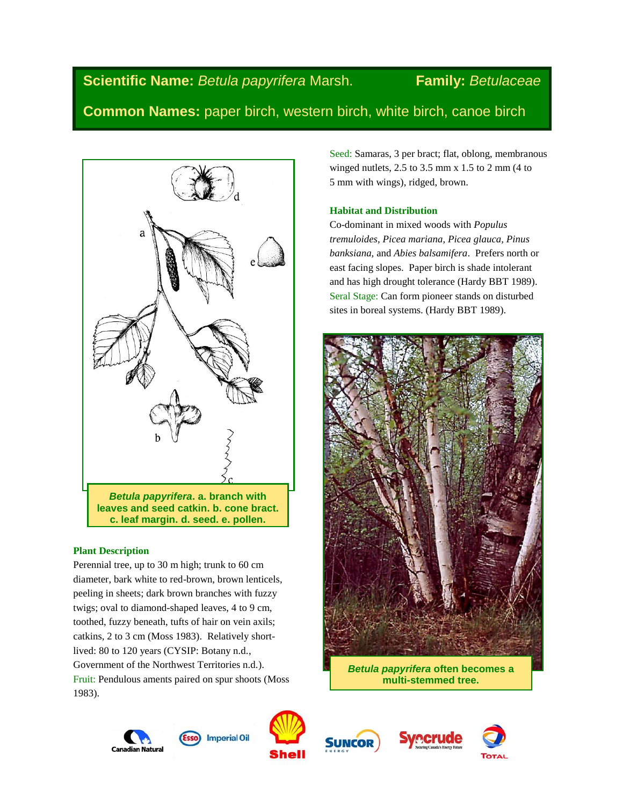**Scientific Name:** *Betula papyrifera* Marsh. **Family:** *Betulaceae*

**Common Names:** paper birch, western birch, white birch, canoe birch



# **Plant Description**

Perennial tree, up to 30 m high; trunk to 60 cm diameter, bark white to red-brown, brown lenticels, peeling in sheets; dark brown branches with fuzzy twigs; oval to diamond-shaped leaves, 4 to 9 cm, toothed, fuzzy beneath, tufts of hair on vein axils; catkins, 2 to 3 cm (Moss 1983). Relatively shortlived: 80 to 120 years (CYSIP: Botany n.d., Government of the Northwest Territories n.d.). Fruit: Pendulous aments paired on spur shoots (Moss 1983).

Seed: Samaras, 3 per bract; flat, oblong, membranous winged nutlets, 2.5 to 3.5 mm x 1.5 to 2 mm (4 to 5 mm with wings), ridged, brown.

# **Habitat and Distribution**

Co-dominant in mixed woods with *Populus tremuloides, Picea mariana, Picea glauca, Pinus banksiana,* and *Abies balsamifera*. Prefers north or east facing slopes. Paper birch is shade intolerant and has high drought tolerance (Hardy BBT 1989). Seral Stage: Can form pioneer stands on disturbed sites in boreal systems. (Hardy BBT 1989).



*Betula papyrifera* **often becomes a multi-stemmed tree.**





**Imperial Oil** 





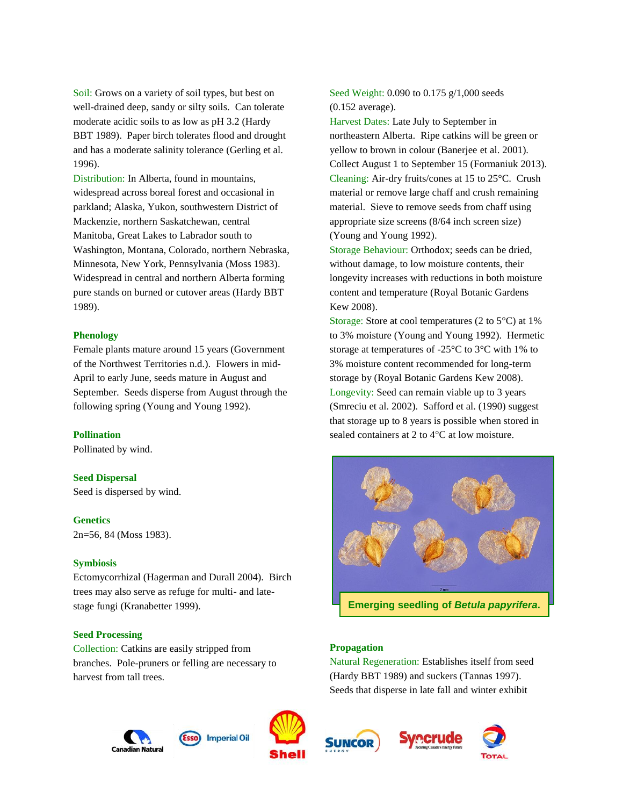Soil: Grows on a variety of soil types, but best on well-drained deep, sandy or silty soils. Can tolerate moderate acidic soils to as low as pH 3.2 (Hardy BBT 1989). Paper birch tolerates flood and drought and has a moderate salinity tolerance (Gerling et al. 1996).

Distribution: In Alberta, found in mountains, widespread across boreal forest and occasional in parkland; Alaska, Yukon, southwestern District of Mackenzie, northern Saskatchewan, central Manitoba, Great Lakes to Labrador south to Washington, Montana, Colorado, northern Nebraska, Minnesota, New York, Pennsylvania (Moss 1983). Widespread in central and northern Alberta forming pure stands on burned or cutover areas (Hardy BBT 1989).

## **Phenology**

Female plants mature around 15 years (Government of the Northwest Territories n.d.). Flowers in mid-April to early June, seeds mature in August and September. Seeds disperse from August through the following spring (Young and Young 1992).

## **Pollination**

Pollinated by wind.

#### **Seed Dispersal**

Seed is dispersed by wind.

# **Genetics**

2n=56, 84 (Moss 1983).

#### **Symbiosis**

Ectomycorrhizal (Hagerman and Durall 2004). Birch trees may also serve as refuge for multi- and latestage fungi (Kranabetter 1999).

## **Seed Processing**

Collection: Catkins are easily stripped from branches. Pole-pruners or felling are necessary to harvest from tall trees.





Seed Weight: 0.090 to 0.175 g/1,000 seeds (0.152 average).

Harvest Dates: Late July to September in northeastern Alberta. Ripe catkins will be green or yellow to brown in colour (Banerjee et al. 2001). Collect August 1 to September 15 (Formaniuk 2013). Cleaning: Air-dry fruits/cones at 15 to 25°C. Crush material or remove large chaff and crush remaining material. Sieve to remove seeds from chaff using appropriate size screens (8/64 inch screen size) (Young and Young 1992).

Storage Behaviour: Orthodox; seeds can be dried, without damage, to low moisture contents, their longevity increases with reductions in both moisture content and temperature (Royal Botanic Gardens Kew 2008).

Storage: Store at cool temperatures (2 to 5°C) at 1% to 3% moisture (Young and Young 1992). Hermetic storage at temperatures of -25°C to 3°C with 1% to 3% moisture content recommended for long-term storage by (Royal Botanic Gardens Kew 2008). Longevity: Seed can remain viable up to 3 years (Smreciu et al. 2002). Safford et al. (1990) suggest that storage up to 8 years is possible when stored in sealed containers at 2 to  $4^{\circ}$ C at low moisture.



#### **Propagation**

Natural Regeneration: Establishes itself from seed (Hardy BBT 1989) and suckers (Tannas 1997). Seeds that disperse in late fall and winter exhibit





TOTAL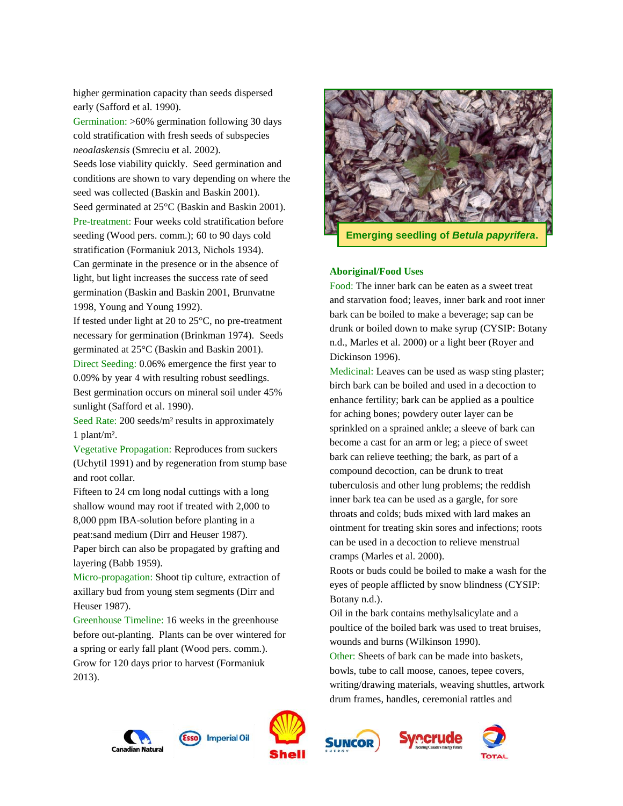higher germination capacity than seeds dispersed early (Safford et al. 1990).

Germination: >60% germination following 30 days cold stratification with fresh seeds of subspecies *neoalaskensis* (Smreciu et al. 2002).

Seeds lose viability quickly. Seed germination and conditions are shown to vary depending on where the seed was collected (Baskin and Baskin 2001).

Seed germinated at 25°C (Baskin and Baskin 2001). Pre-treatment: Four weeks cold stratification before seeding (Wood pers. comm.); 60 to 90 days cold stratification (Formaniuk 2013, Nichols 1934). Can germinate in the presence or in the absence of light, but light increases the success rate of seed germination (Baskin and Baskin 2001, Brunvatne 1998, Young and Young 1992).

If tested under light at 20 to 25°C, no pre-treatment necessary for germination (Brinkman 1974). Seeds germinated at 25°C (Baskin and Baskin 2001).

Direct Seeding: 0.06% emergence the first year to 0.09% by year 4 with resulting robust seedlings. Best germination occurs on mineral soil under 45% sunlight (Safford et al. 1990).

Seed Rate: 200 seeds/m² results in approximately 1 plant/m².

Vegetative Propagation: Reproduces from suckers (Uchytil 1991) and by regeneration from stump base and root collar.

Fifteen to 24 cm long nodal cuttings with a long shallow wound may root if treated with 2,000 to 8,000 ppm IBA-solution before planting in a peat:sand medium (Dirr and Heuser 1987). Paper birch can also be propagated by grafting and layering (Babb 1959).

Micro-propagation: Shoot tip culture, extraction of axillary bud from young stem segments (Dirr and Heuser 1987).

Greenhouse Timeline: 16 weeks in the greenhouse before out-planting. Plants can be over wintered for a spring or early fall plant (Wood pers. comm.). Grow for 120 days prior to harvest (Formaniuk 2013).



**Emerging seedling of** *Betula papyrifera***.**

# **Aboriginal/Food Uses**

Food: The inner bark can be eaten as a sweet treat and starvation food; leaves, inner bark and root inner bark can be boiled to make a beverage; sap can be drunk or boiled down to make syrup (CYSIP: Botany n.d., Marles et al. 2000) or a light beer (Royer and Dickinson 1996).

Medicinal: Leaves can be used as wasp sting plaster; birch bark can be boiled and used in a decoction to enhance fertility; bark can be applied as a poultice for aching bones; powdery outer layer can be sprinkled on a sprained ankle; a sleeve of bark can become a cast for an arm or leg; a piece of sweet bark can relieve teething; the bark, as part of a compound decoction, can be drunk to treat tuberculosis and other lung problems; the reddish inner bark tea can be used as a gargle, for sore throats and colds; buds mixed with lard makes an ointment for treating skin sores and infections; roots can be used in a decoction to relieve menstrual cramps (Marles et al. 2000).

Roots or buds could be boiled to make a wash for the eyes of people afflicted by snow blindness (CYSIP: Botany n.d.).

Oil in the bark contains methylsalicylate and a poultice of the boiled bark was used to treat bruises, wounds and burns (Wilkinson 1990).

Other: Sheets of bark can be made into baskets, bowls, tube to call moose, canoes, tepee covers, writing/drawing materials, weaving shuttles, artwork drum frames, handles, ceremonial rattles and







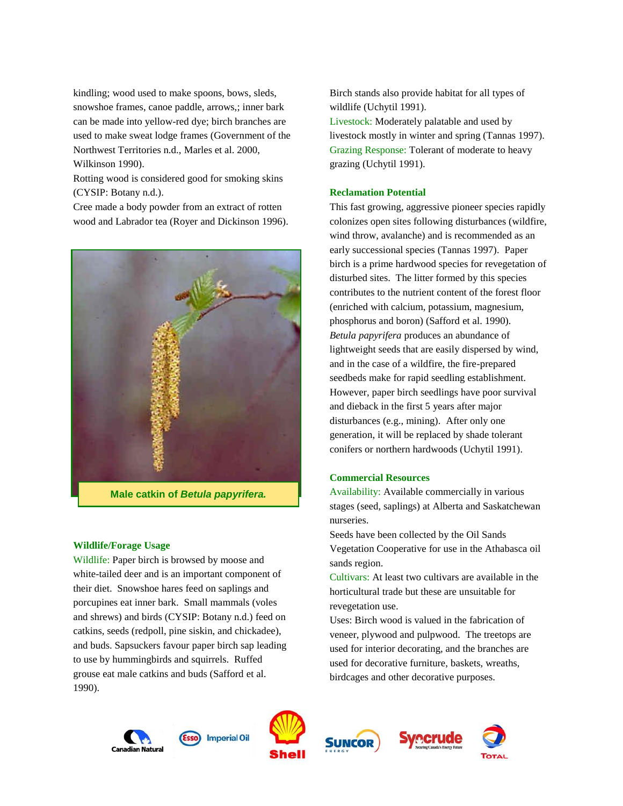kindling; wood used to make spoons, bows, sleds, snowshoe frames, canoe paddle, arrows,; inner bark can be made into yellow-red dye; birch branches are used to make sweat lodge frames (Government of the Northwest Territories n.d., Marles et al. 2000, Wilkinson 1990).

Rotting wood is considered good for smoking skins (CYSIP: Botany n.d.).

Cree made a body powder from an extract of rotten wood and Labrador tea (Royer and Dickinson 1996).



**Male catkin of** *Betula papyrifera.*

## **Wildlife/Forage Usage**

Wildlife: Paper birch is browsed by moose and white-tailed deer and is an important component of their diet. Snowshoe hares feed on saplings and porcupines eat inner bark. Small mammals (voles and shrews) and birds (CYSIP: Botany n.d.) feed on catkins, seeds (redpoll, pine siskin, and chickadee), and buds. Sapsuckers favour paper birch sap leading to use by hummingbirds and squirrels. Ruffed grouse eat male catkins and buds (Safford et al. 1990).

Birch stands also provide habitat for all types of wildlife (Uchytil 1991).

Livestock: Moderately palatable and used by livestock mostly in winter and spring (Tannas 1997). Grazing Response: Tolerant of moderate to heavy grazing (Uchytil 1991).

# **Reclamation Potential**

This fast growing, aggressive pioneer species rapidly colonizes open sites following disturbances (wildfire, wind throw, avalanche) and is recommended as an early successional species (Tannas 1997). Paper birch is a prime hardwood species for revegetation of disturbed sites. The litter formed by this species contributes to the nutrient content of the forest floor (enriched with calcium, potassium, magnesium, phosphorus and boron) (Safford et al. 1990). *Betula papyrifera* produces an abundance of lightweight seeds that are easily dispersed by wind, and in the case of a wildfire, the fire-prepared seedbeds make for rapid seedling establishment. However, paper birch seedlings have poor survival and dieback in the first 5 years after major disturbances (e.g., mining). After only one generation, it will be replaced by shade tolerant conifers or northern hardwoods (Uchytil 1991).

## **Commercial Resources**

Availability: Available commercially in various stages (seed, saplings) at Alberta and Saskatchewan nurseries.

Seeds have been collected by the Oil Sands Vegetation Cooperative for use in the Athabasca oil sands region.

Cultivars: At least two cultivars are available in the horticultural trade but these are unsuitable for revegetation use.

Uses: Birch wood is valued in the fabrication of veneer, plywood and pulpwood. The treetops are used for interior decorating, and the branches are used for decorative furniture, baskets, wreaths, birdcages and other decorative purposes.









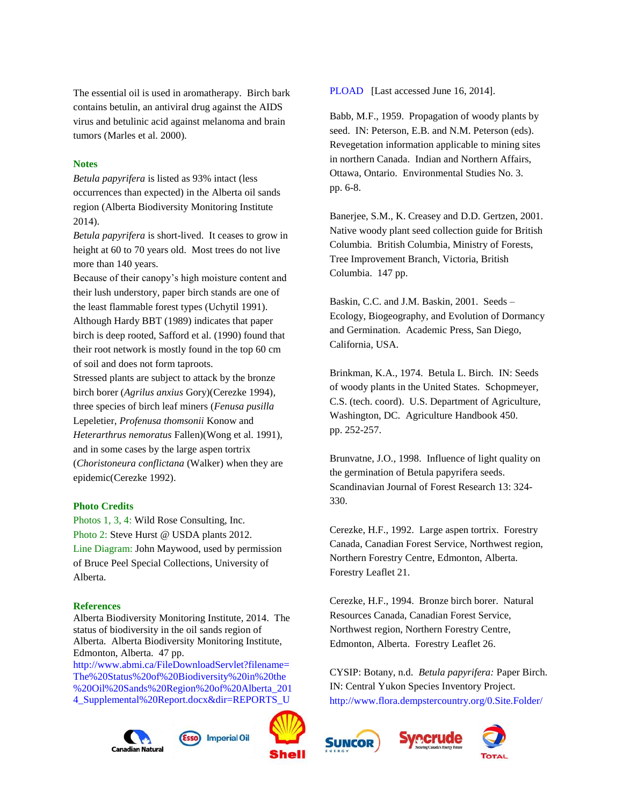The essential oil is used in aromatherapy. Birch bark contains betulin, an antiviral drug against the AIDS virus and betulinic acid against melanoma and brain tumors (Marles et al. 2000).

# **Notes**

*Betula papyrifera* is listed as 93% intact (less occurrences than expected) in the Alberta oil sands region (Alberta Biodiversity Monitoring Institute 2014).

*Betula papyrifera* is short-lived. It ceases to grow in height at 60 to 70 years old. Most trees do not live more than 140 years.

Because of their canopy's high moisture content and their lush understory, paper birch stands are one of the least flammable forest types (Uchytil 1991). Although Hardy BBT (1989) indicates that paper birch is deep rooted, Safford et al. (1990) found that their root network is mostly found in the top 60 cm of soil and does not form taproots.

Stressed plants are subject to attack by the bronze birch borer (*Agrilus anxius* Gory)(Cerezke 1994), three species of birch leaf miners (*Fenusa pusilla* Lepeletier, *Profenusa thomsonii* Konow and *Heterarthrus nemoratus* Fallen)(Wong et al. 1991), and in some cases by the large aspen tortrix (*Choristoneura conflictana* (Walker) when they are epidemic(Cerezke 1992).

# **Photo Credits**

Photos 1, 3, 4: Wild Rose Consulting, Inc. Photo 2: Steve Hurst @ USDA plants 2012. Line Diagram: John Maywood, used by permission of Bruce Peel Special Collections, University of Alberta.

#### **References**

Alberta Biodiversity Monitoring Institute, 2014. The status of biodiversity in the oil sands region of Alberta. Alberta Biodiversity Monitoring Institute, Edmonton, Alberta. 47 pp.

[http://www.abmi.ca/FileDownloadServlet?filename=](http://www.abmi.ca/FileDownloadServlet?filename=The%20Status%20of%20Biodiversity%20in%20the%20Oil%20Sands%20Region%20of%20Alberta_2014_Supplemental%20Report.docx&dir=REPORTS_UPLOAD) [The%20Status%20of%20Biodiversity%20in%20the](http://www.abmi.ca/FileDownloadServlet?filename=The%20Status%20of%20Biodiversity%20in%20the%20Oil%20Sands%20Region%20of%20Alberta_2014_Supplemental%20Report.docx&dir=REPORTS_UPLOAD) [%20Oil%20Sands%20Region%20of%20Alberta\\_201](http://www.abmi.ca/FileDownloadServlet?filename=The%20Status%20of%20Biodiversity%20in%20the%20Oil%20Sands%20Region%20of%20Alberta_2014_Supplemental%20Report.docx&dir=REPORTS_UPLOAD) [4\\_Supplemental%20Report.docx&dir=REPORTS\\_U](http://www.abmi.ca/FileDownloadServlet?filename=The%20Status%20of%20Biodiversity%20in%20the%20Oil%20Sands%20Region%20of%20Alberta_2014_Supplemental%20Report.docx&dir=REPORTS_UPLOAD)







[PLOAD](http://www.abmi.ca/FileDownloadServlet?filename=The%20Status%20of%20Biodiversity%20in%20the%20Oil%20Sands%20Region%20of%20Alberta_2014_Supplemental%20Report.docx&dir=REPORTS_UPLOAD) [Last accessed June 16, 2014].

Babb, M.F., 1959. Propagation of woody plants by seed. IN: Peterson, E.B. and N.M. Peterson (eds). Revegetation information applicable to mining sites in northern Canada. Indian and Northern Affairs, Ottawa, Ontario. Environmental Studies No. 3. pp. 6-8.

Banerjee, S.M., K. Creasey and D.D. Gertzen, 2001. Native woody plant seed collection guide for British Columbia. British Columbia, Ministry of Forests, Tree Improvement Branch, Victoria, British Columbia. 147 pp.

Baskin, C.C. and J.M. Baskin, 2001. Seeds – Ecology, Biogeography, and Evolution of Dormancy and Germination. Academic Press, San Diego, California, USA.

Brinkman, K.A., 1974. Betula L. Birch. IN: Seeds of woody plants in the United States. Schopmeyer, C.S. (tech. coord). U.S. Department of Agriculture, Washington, DC. Agriculture Handbook 450. pp. 252-257.

Brunvatne, J.O., 1998. Influence of light quality on the germination of Betula papyrifera seeds. Scandinavian Journal of Forest Research 13: 324- 330.

Cerezke, H.F., 1992. Large aspen tortrix. Forestry Canada, Canadian Forest Service, Northwest region, Northern Forestry Centre, Edmonton, Alberta. Forestry Leaflet 21.

Cerezke, H.F., 1994. Bronze birch borer. Natural Resources Canada, Canadian Forest Service, Northwest region, Northern Forestry Centre, Edmonton, Alberta. Forestry Leaflet 26.

CYSIP: Botany, n.d. *Betula papyrifera:* Paper Birch. IN: Central Yukon Species Inventory Project. [http://www.flora.dempstercountry.org/0.Site.Folder/](http://www.flora.dempstercountry.org/0.Site.Folder/Species.Program/Species.php?species_id=Betu.papy)





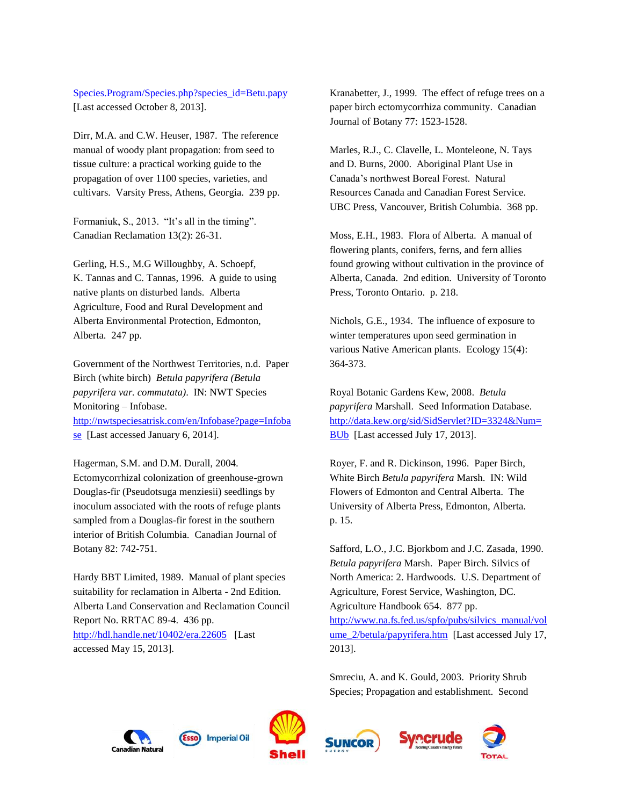[Species.Program/Species.php?species\\_id=Betu.papy](http://www.flora.dempstercountry.org/0.Site.Folder/Species.Program/Species.php?species_id=Betu.papy) [Last accessed October 8, 2013].

Dirr, M.A. and C.W. Heuser, 1987. The reference manual of woody plant propagation: from seed to tissue culture: a practical working guide to the propagation of over 1100 species, varieties, and cultivars. Varsity Press, Athens, Georgia. 239 pp.

Formaniuk, S., 2013. "It's all in the timing". Canadian Reclamation 13(2): 26-31.

Gerling, H.S., M.G Willoughby, A. Schoepf, K. Tannas and C. Tannas, 1996. A guide to using native plants on disturbed lands. Alberta Agriculture, Food and Rural Development and Alberta Environmental Protection, Edmonton, Alberta. 247 pp.

Government of the Northwest Territories, n.d. Paper Birch (white birch) *Betula papyrifera (Betula papyrifera var. commutata)*. IN: NWT Species Monitoring – Infobase. [http://nwtspeciesatrisk.com/en/Infobase?page=Infoba](http://nwtspeciesatrisk.com/en/Infobase?page=Infobase) [se](http://nwtspeciesatrisk.com/en/Infobase?page=Infobase) [Last accessed January 6, 2014].

Hagerman, S.M. and D.M. Durall, 2004. Ectomycorrhizal colonization of greenhouse-grown Douglas-fir (Pseudotsuga menziesii) seedlings by inoculum associated with the roots of refuge plants sampled from a Douglas-fir forest in the southern interior of British Columbia. Canadian Journal of Botany 82: 742-751.

Hardy BBT Limited, 1989. Manual of plant species suitability for reclamation in Alberta - 2nd Edition. Alberta Land Conservation and Reclamation Council Report No. RRTAC 89-4. 436 pp. <http://hdl.handle.net/10402/era.22605> [Last accessed May 15, 2013].

Kranabetter, J., 1999. The effect of refuge trees on a paper birch ectomycorrhiza community. Canadian Journal of Botany 77: 1523-1528.

Marles, R.J., C. Clavelle, L. Monteleone, N. Tays and D. Burns, 2000. Aboriginal Plant Use in Canada's northwest Boreal Forest. Natural Resources Canada and Canadian Forest Service. UBC Press, Vancouver, British Columbia. 368 pp.

Moss, E.H., 1983. Flora of Alberta. A manual of flowering plants, conifers, ferns, and fern allies found growing without cultivation in the province of Alberta, Canada. 2nd edition. University of Toronto Press, Toronto Ontario. p. 218.

Nichols, G.E., 1934. The influence of exposure to winter temperatures upon seed germination in various Native American plants. Ecology 15(4): 364-373.

Royal Botanic Gardens Kew, 2008. *Betula papyrifera* Marshall. Seed Information Database. [http://data.kew.org/sid/SidServlet?ID=3324&Num=](http://data.kew.org/sid/SidServlet?ID=3324&Num=BUb) [BUb](http://data.kew.org/sid/SidServlet?ID=3324&Num=BUb) [Last accessed July 17, 2013].

Royer, F. and R. Dickinson, 1996. Paper Birch, White Birch *Betula papyrifera* Marsh. IN: Wild Flowers of Edmonton and Central Alberta. The University of Alberta Press, Edmonton, Alberta. p. 15.

Safford, L.O., J.C. Bjorkbom and J.C. Zasada, 1990. *Betula papyrifera* Marsh. Paper Birch. Silvics of North America: 2. Hardwoods. U.S. Department of Agriculture, Forest Service, Washington, DC. Agriculture Handbook 654. 877 pp. [http://www.na.fs.fed.us/spfo/pubs/silvics\\_manual/vol](http://www.na.fs.fed.us/spfo/pubs/silvics_manual/volume_2/betula/papyrifera.htm) [ume\\_2/betula/papyrifera.htm](http://www.na.fs.fed.us/spfo/pubs/silvics_manual/volume_2/betula/papyrifera.htm) [Last accessed July 17, 2013].

Smreciu, A. and K. Gould, 2003. Priority Shrub Species; Propagation and establishment. Second